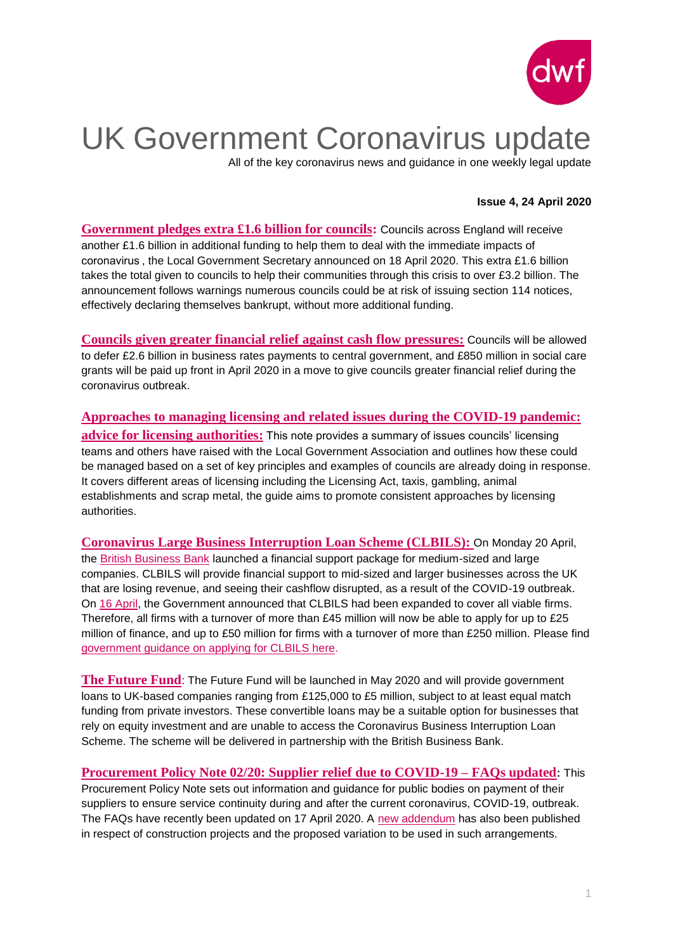

# UK Government Coronavirus update

All of the key coronavirus news and guidance in one weekly legal update

### **Issue 4, 24 April 2020**

**[Government pledges extra £1.6 billion for councils:](https://www.gov.uk/government/news/government-pledges-extra-16-billion-for-councils)** Councils across England will receive another £1.6 billion in additional funding to help them to deal with the immediate impacts of coronavirus , the Local Government Secretary announced on 18 April 2020. This extra £1.6 billion takes the total given to councils to help their communities through this crisis to over £3.2 billion. The announcement follows warnings numerous councils could be at risk of issuing section 114 notices, effectively declaring themselves bankrupt, without more additional funding.

**[Councils given greater financial relief against cash flow pressures:](https://www.gov.uk/government/news/councils-given-greater-financial-relief-against-cash-flow-pressures)** Councils will be allowed to defer £2.6 billion in business rates payments to central government, and £850 million in social care grants will be paid up front in April 2020 in a move to give councils greater financial relief during the coronavirus outbreak.

**[Approaches to managing licensing and related issues during the COVID-19 pandemic:](https://www.local.gov.uk/sites/default/files/documents/final_Approaches_to_managing_licensing_and_related_issues_during_COVID-19_pandemic%20updated%2017%20April.pdf) [advice for licensing authorities:](https://www.local.gov.uk/sites/default/files/documents/final_Approaches_to_managing_licensing_and_related_issues_during_COVID-19_pandemic%20updated%2017%20April.pdf)** This note provides a summary of issues councils' licensing teams and others have raised with the Local Government Association and outlines how these could be managed based on a set of key principles and examples of councils are already doing in response. It covers different areas of licensing including the Licensing Act, taxis, gambling, animal establishments and scrap metal, the guide aims to promote consistent approaches by licensing authorities.

**[Coronavirus Large Business Interruption Loan Scheme \(CLBILS\):](https://www.dwf.law/Legal-Insights/2020/April/CLBILS-launched-to-support-medium-sized-and-larger-businesses)** On Monday 20 April, the [British Business Bank](https://www.british-business-bank.co.uk/ourpartners/coronavirus-business-interruption-loan-schemes/clbils/) launched a financial support package for medium-sized and large companies. CLBILS will provide financial support to mid-sized and larger businesses across the UK that are losing revenue, and seeing their cashflow disrupted, as a result of the COVID-19 outbreak. On [16 April,](https://www.gov.uk/government/news/chancellor-expands-loan-scheme-for-large-businesses?utm_source=e1eae5d2-6726-4b01-a7b4-29c502d3659a&utm_medium=email&utm_campaign=govuk-notifications&utm_content=immediate) the Government announced that CLBILS had been expanded to cover all viable firms. Therefore, all firms with a turnover of more than £45 million will now be able to apply for up to £25 million of finance, and up to £50 million for firms with a turnover of more than £250 million. Please find [government guidance on applying for CLBILS here.](https://www.gov.uk/guidance/apply-for-the-coronavirus-large-business-interruption-loan-scheme)

**[The Future Fund](https://www.dwf.law/Legal-Insights/2020/April/UK-Government-announces-1-25-billion-Coronavirus-Relief-Package)**: The Future Fund will be launched in May 2020 and will provide government loans to UK-based companies ranging from £125,000 to £5 million, subject to at least equal match funding from private investors. These convertible loans may be a suitable option for businesses that rely on equity investment and are unable to access the Coronavirus Business Interruption Loan Scheme. The scheme will be delivered in partnership with the British Business Bank.

**[Procurement Policy Note 02/20: Supplier relief due to COVID-19 –](https://www.gov.uk/government/publications/procurement-policy-note-0220-supplier-relief-due-to-covid-19#history) FAQs updated**: This Procurement Policy Note sets out information and guidance for public bodies on payment of their suppliers to ensure service continuity during and after the current coronavirus, COVID-19, outbreak. The FAQs have recently been updated on 17 April 2020. A [new addendum](https://assets.publishing.service.gov.uk/government/uploads/system/uploads/attachment_data/file/880162/PPN-02_20-Additional-guidance-FAQs-and-model-terms-for-construction-20April.pdf) has also been published in respect of construction projects and the proposed variation to be used in such arrangements.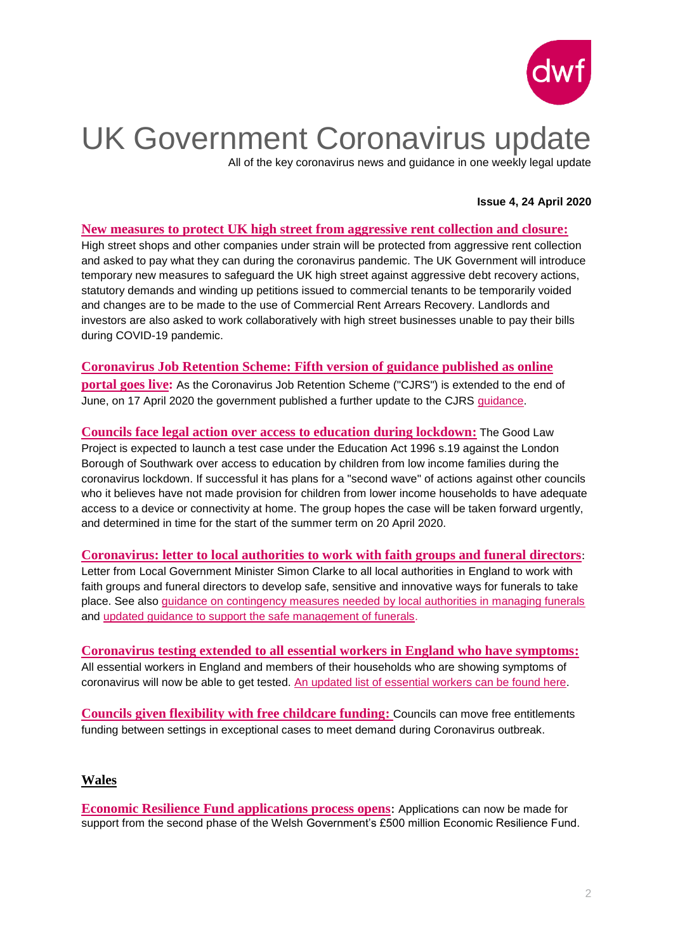

## UK Government Coronavirus update

All of the key coronavirus news and guidance in one weekly legal update

### **Issue 4, 24 April 2020**

#### **[New measures to protect UK high street from aggressive rent collection and closure:](https://www.gov.uk/government/news/new-measures-to-protect-uk-high-street-from-aggressive-rent-collection-and-closure)**

High street shops and other companies under strain will be protected from aggressive rent collection and asked to pay what they can during the coronavirus pandemic. The UK Government will introduce temporary new measures to safeguard the UK high street against aggressive debt recovery actions, statutory demands and winding up petitions issued to commercial tenants to be temporarily voided and changes are to be made to the use of Commercial Rent Arrears Recovery. Landlords and investors are also asked to work collaboratively with high street businesses unable to pay their bills during COVID-19 pandemic.

#### **[Coronavirus Job Retention Scheme: Fifth version of guidance published as online](https://www.dwf.law/en/Legal-Insights/2020/April/Coronavirus-Job-Retention-Scheme-Fifth-version-of-guidance-published-as-online-portal-goes-live)**

**[portal goes live:](https://www.dwf.law/en/Legal-Insights/2020/April/Coronavirus-Job-Retention-Scheme-Fifth-version-of-guidance-published-as-online-portal-goes-live)** As the Coronavirus Job Retention Scheme ("CJRS") is extended to the end of June, on 17 April 2020 the government published a further update to the CJRS [guidance.](https://www.gov.uk/guidance/claim-for-wage-costs-through-the-coronavirus-job-retention-scheme)

**[Councils face legal action over access to education during lockdown:](https://www.localgovernmentlawyer.co.uk/education-law/394-education-news/43361-councils-face-legal-action-over-access-to-education-during-lockdown)** The Good Law Project is expected to launch a test case under the Education Act 1996 s.19 against the London Borough of Southwark over access to education by children from low income families during the coronavirus lockdown. If successful it has plans for a "second wave" of actions against other councils who it believes have not made provision for children from lower income households to have adequate access to a device or connectivity at home. The group hopes the case will be taken forward urgently, and determined in time for the start of the summer term on 20 April 2020.

**[Coronavirus: letter to local authorities to work with faith groups and funeral directors](https://www.gov.uk/government/publications/letter-to-local-authorities-to-work-with-faith-groups-and-funeral-directors-to-develop-safe-sensitive-and-innovative-ways-for-funerals-to-take-place)**: Letter from Local Government Minister Simon Clarke to all local authorities in England to work with faith groups and funeral directors to develop safe, sensitive and innovative ways for funerals to take place. See also [guidance on contingency measures needed by local authorities in managing funerals](https://www.gov.uk/government/publications/coronavirus-covid-19-local-death-management) and [updated guidance to support the safe management of funerals.](https://www.gov.uk/government/news/guidance-updated-to-support-the-safe-management-of-funerals)

**[Coronavirus testing extended to all essential workers in England who have symptoms:](https://www.gov.uk/government/news/coronavirus-testing-extended-to-all-essential-workers-in-england-who-have-symptoms)**  All essential workers in England and members of their households who are showing symptoms of coronavirus will now be able to get tested. [An updated list of essential workers can be found here.](https://www.gov.uk/guidance/coronavirus-covid-19-getting-tested#history)

**[Councils given flexibility with free childcare funding:](https://www.gov.uk/government/news/councils-given-flexibility-with-free-childcare-funding)** Councils can move free entitlements funding between settings in exceptional cases to meet demand during Coronavirus outbreak.

### **Wales**

**[Economic Resilience Fund applications process opens](https://gov.wales/economic-resilience-fund-applications-process-opens)**: Applications can now be made for support from the second phase of the Welsh Government's £500 million Economic Resilience Fund.